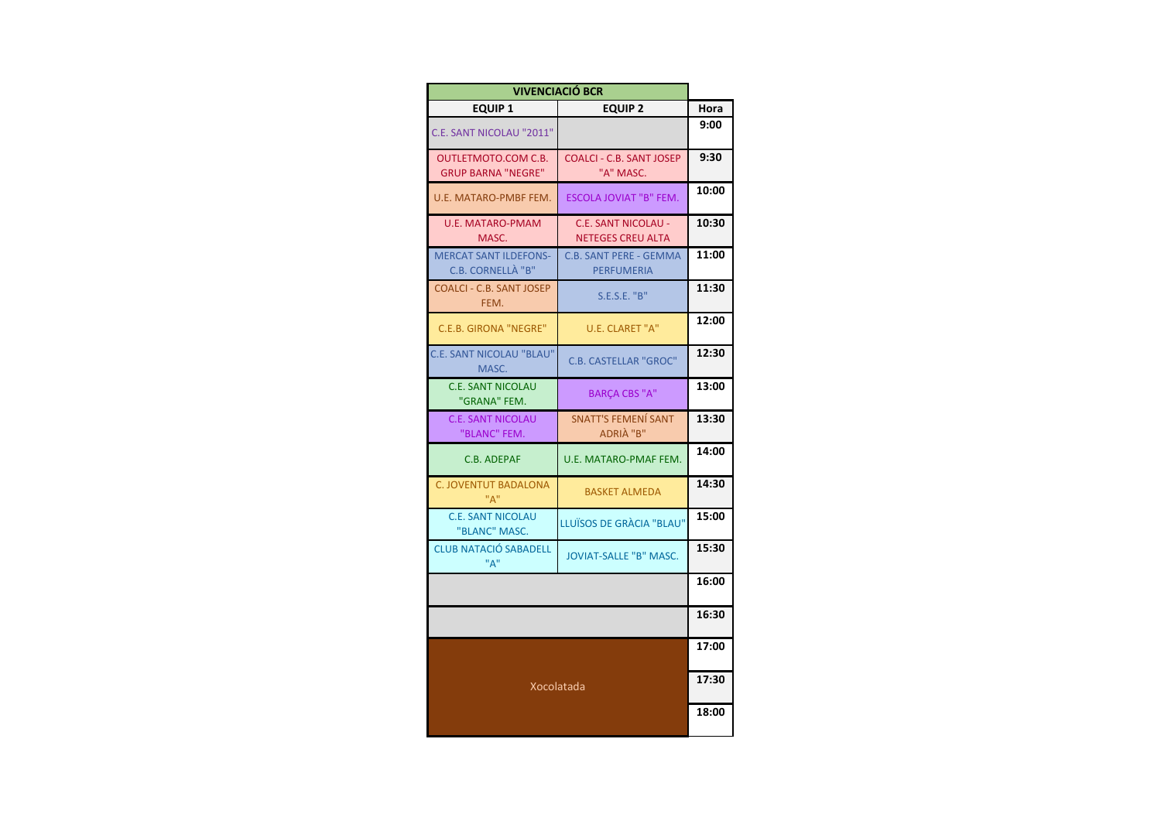| <b>VIVENCIACIÓ BCR</b>                                  |                                                        |       |  |  |
|---------------------------------------------------------|--------------------------------------------------------|-------|--|--|
| <b>EQUIP 1</b>                                          | <b>EQUIP 2</b>                                         | Hora  |  |  |
| C.E. SANT NICOLAU "2011"                                |                                                        | 9:00  |  |  |
| <b>OUTLETMOTO.COM C.B.</b><br><b>GRUP BARNA "NEGRE"</b> | <b>COALCI - C.B. SANT JOSEP</b><br>"A" MASC.           | 9:30  |  |  |
| U.E. MATARO-PMBF FEM.                                   | ESCOLA JOVIAT "B" FEM.                                 | 10:00 |  |  |
| U.E. MATARO-PMAM<br>MASC.                               | <b>C.E. SANT NICOLAU -</b><br><b>NETEGES CREU ALTA</b> | 10:30 |  |  |
| <b>MERCAT SANT ILDEFONS-</b><br>C.B. CORNELLA "B"       | C.B. SANT PERE - GEMMA<br><b>PERFUMERIA</b>            | 11:00 |  |  |
| <b>COALCI - C.B. SANT JOSEP</b><br>FEM.                 | S.E.S.E. "B"                                           | 11:30 |  |  |
| <b>C.E.B. GIRONA "NEGRE"</b>                            | U.E. CLARET "A"                                        | 12:00 |  |  |
| <b>C.E. SANT NICOLAU "BLAU"</b><br>MASC.                | <b>C.B. CASTELLAR "GROC"</b>                           | 12:30 |  |  |
| <b>C.E. SANT NICOLAU</b><br>"GRANA" FEM.                | <b>BARCA CBS "A"</b>                                   | 13:00 |  |  |
| <b>C.E. SANT NICOLAU</b><br>"BLANC" FEM.                | SNATT'S FEMENÍ SANT<br>ADRIA "B"                       | 13:30 |  |  |
| C.B. ADEPAF                                             | U.E. MATARO-PMAF FEM.                                  | 14:00 |  |  |
| <b>C. JOVENTUT BADALONA</b><br>"A"                      | <b>BASKET ALMEDA</b>                                   | 14:30 |  |  |
| C.E. SANT NICOLAU<br>"BLANC" MASC.                      | LLUÏSOS DE GRÀCIA "BLAU"                               | 15:00 |  |  |
| <b>CLUB NATACIÓ SABADELL</b><br>"A"                     | <b>JOVIAT-SALLE "B" MASC.</b>                          | 15:30 |  |  |
|                                                         |                                                        | 16:00 |  |  |
|                                                         |                                                        | 16:30 |  |  |
|                                                         |                                                        | 17:00 |  |  |
| Xocolatada                                              | 17:30                                                  |       |  |  |
|                                                         |                                                        | 18:00 |  |  |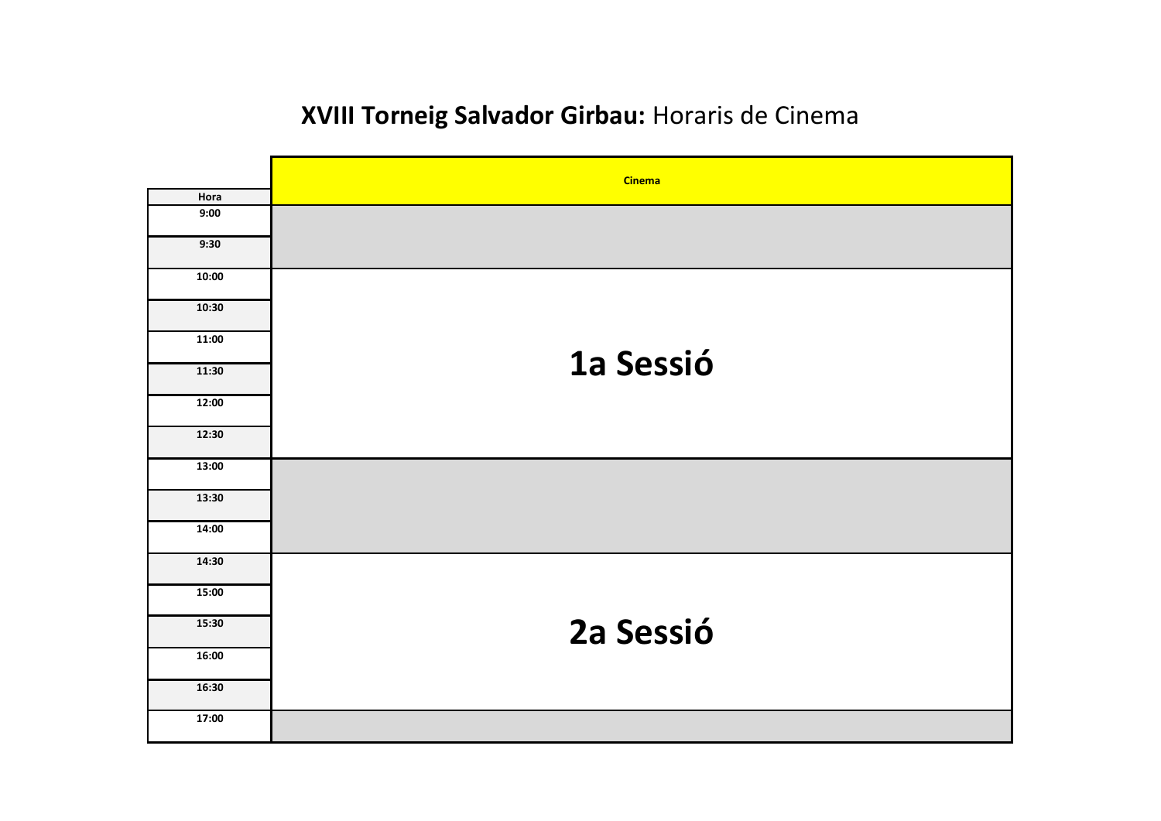## **XVIII Torneig Salvador Girbau:** Horaris de Cinema